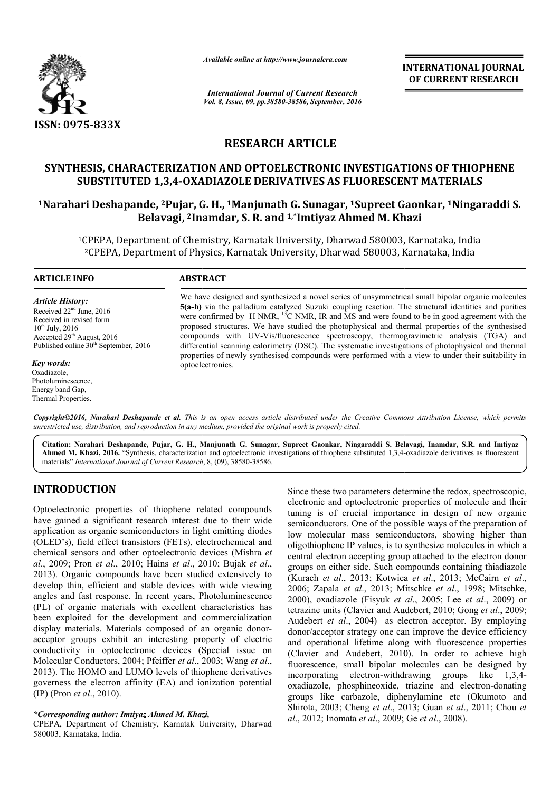

*Available online at http://www.journalcra.com*

*International Journal of Current Research Vol. 8, Issue, 09, pp.38580-38586, September, 2016* INTERNATIONAL JOURNAL OF CURRENT RESEARCH

# RESEARCH ARTICLE

# SYNTHESIS, CHARACTERIZATION AND OPTOELECTRONIC INVESTIGATIONS OF THIOPHENE SUBSTITUTED 1,3,4-OXADIAZOLE DERIVATIVES AS FLUORESCENT AS FLUORESCENT MATERIALS

# SUBSTITUTED 1,3,4-OXADIAZOLE DERIVATIVES AS FLUORESCENT MATERIALS<br>1Narahari Deshapande, <sup>2</sup>Pujar, G. H., <sup>1</sup>Manjunath G. Sunagar, <sup>1</sup>Supreet Gaonkar, <sup>1</sup>Ningaraddi S. Belavagi, <sup>2</sup>Inamdar, S. R. and <sup>1,</sup>\*Imtiyaz Ahmed M. Khazi

<sup>1</sup>CPEPA, Department of Chemistry, Karnatak University, Dharwad 580003, Karnataka, India 2CPEPA, Department of Physics, Karnatak University, Dharwad 580003, Karnataka, India CPEPA, PEPA, Department of Chemistry, Karnatak University, Dharwad<br>CPEPA, Department of Physics, Karnatak University, Dharwad 5

#### ARTICLE INFO ABSTRACT We have designed and synthesized a novel series of unsymmetrical small bipolar organic molecules 5(a-h) via the palladium catalyzed Suzuki coupling reaction. The structural identities and purities We have designed and synthesized a novel series of unsymmetrical small bipolar organic molecules  $5(a-h)$  via the palladium catalyzed Suzuki coupling reaction. The structural identities and purities were confirmed by <sup>1</sup>H N proposed structures. We have studied the photophysical and thermal properties of the synthesised compounds with UV UV-Vis/fluorescence spectroscopy, thermogravimetric analysis (TGA) and differential scanning calorimetry (DSC). The systematic investigations of photophysical and thermal properties of newly synthesised compounds were performed with a view to under their suitability in optoelectronics. *Article History:* Received 22<sup>nd</sup> June, 2016 Received in revised form  $10^{th}$  July, 2016 Accepted 29th August, 2016 Published online 30<sup>th</sup> September, 2016 *Key words:* Oxadiazole, Photoluminescence, proposed structures. We have studied the photophysical and thermal properties of the synthe compounds with UV-Vis/fluorescence spectroscopy, thermogravimetric analysis (TGA) differential scanning calorimetry (DSC). The sys

Copyright©2016, Narahari Deshapande et al. This is an open access article distributed under the Creative Commons Attribution License, which permits *unrestricted use, distribution, and reproduction in any medium, provided the original work is properly cited.*

Citation: Narahari Deshapande, Pujar, G. H., Manjunath G. Sunagar, Supreet Gaonkar, Ningaraddi S. Belavagi, Inamdar, S.R. and Imtiyaz Ahmed M. Khazi, 2016. "Synthesis, characterization and optoelectronic investigations of thiophene substituted 1,3,4-oxadiazole derivatives as fluorescent materials" *International Journal of Current Research*, 8, (09), 38580-38586.

# INTRODUCTION

Energy band Gap, Thermal Properties.

Optoelectronic properties of thiophene related compounds have gained a significant research interest due to their wide application as organic semiconductors in light emitting diodes (OLED's), field effect transistors (FETs), electrochemical and chemical sensors and other optoelectronic devices (Mishra *et al*., 2009; Pron *et al*., 2010; Hains *et al*., 2010; Bujak *et al*., 2013). Organic compounds have been studied extensively to develop thin, efficient and stable devices with wide viewing angles and fast response. In recent years, Photoluminescence (PL) of organic materials with excellent characteristics has been exploited for the development and commercialization display materials. Materials composed of an organic donoracceptor groups exhibit an interesting property of electric conductivity in optoelectronic devices (Special issue on Molecular Conductors, 2004; Pfeiffer *et al*., 2003; Wang *et al*., 2013). The HOMO and LUMO levels of thiophene derivatives governess the electron affinity (EA) and ionization potential (IP) (Pron *et al*., 2010). e been studied extensively to<br>le devices with wide viewing<br>ent years, Photoluminescence<br>excellent characteristics has<br>oment and commercialization

#### *\*Corresponding author: Imtiyaz Ahmed M. Khazi Khazi,*

CPEPA, Department of Chemistry, Karnatak University, Dharwad 580003, Karnataka, India.

Since these two parameters determine the redox, spectroscopic, electronic and optoelectronic properties of molecule and their tuning is of crucial importance in design of new organic electronic and optoelectronic properties of molecule and their tuning is of crucial importance in design of new organic semiconductors. One of the possible ways of the preparation of low molecular mass semiconductors, showing higher than oligothiophene IP values, is to synthesize molecules in which a central electron accepting group attached to the electron donor groups on either side. Such compounds containing thiad (Kurach *et al*., 2013; Kotwica *et al*., 2013; McCairn *et al*., 2006; Zapala *et al*., 2013; Mitschke *et al*., 1998; Mitschke, 2000), oxadiazole (Fisyuk *et al* ., 2005; Lee *et al*., 2009) or tetrazine units (Clavier and Audebert, Clavier 2010; Gong *et al*., 2009; Audebert *et al*., 2004) as electron acceptor. By employing donor/acceptor strategy one can improve the device efficiency and operational lifetime along with fluorescence properties Audebert *et al.*, 2004) as electron acceptor. By employing donor/acceptor strategy one can improve the device efficiency and operational lifetime along with fluorescence properties (Clavier and Audebert, 2010). In order t fluorescence, small bipolar molecules can be designed by incorporating electron-withdrawing groups like 1,3,4 oxadiazole, phosphineoxide, triazine and electron groups like carbazole, diphenylamine etc (Okumoto and Shirota, 2003; Cheng *et al.*, 2013; Guan *et al.*, 2011; Chou *et al*., 2012; Inomata *et al*., 2009; Ge *et al*., 2008). low molecular mass semiconductors, showing higher than oligothiophene IP values, is to synthesize molecules in which a central electron accepting group attached to the electron donor groups on either side. Such compounds c bipolar molecules can be designed by<br>ron-withdrawing groups like 1,3,4electron-donating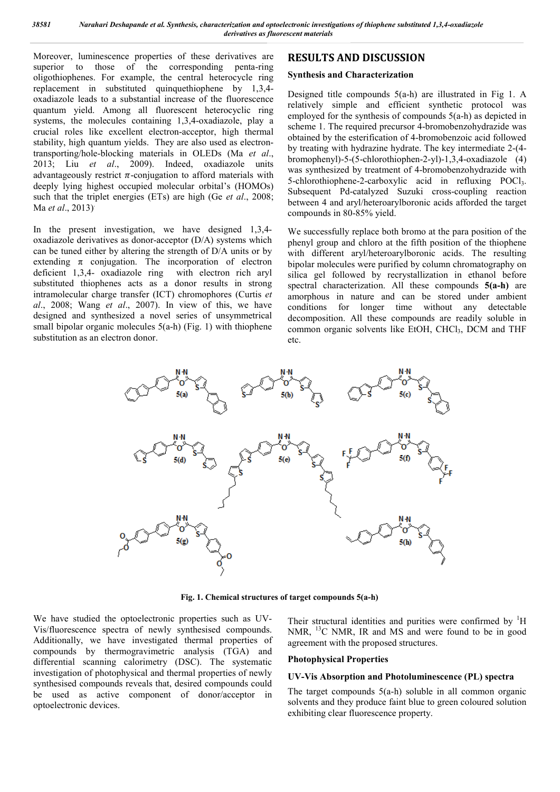Moreover, luminescence properties of these derivatives are superior to those of the corresponding penta-ring oligothiophenes. For example, the central heterocycle ring replacement in substituted quinquethiophene by 1,3,4 oxadiazole leads to a substantial increase of the fluorescence quantum yield. Among all fluorescent heterocyclic ring systems, the molecules containing 1,3,4-oxadiazole, play a crucial roles like excellent electron-acceptor, high thermal stability, high quantum yields. They are also used as electrontransporting/hole-blocking materials in OLEDs (Ma *et al*., 2013; Liu *et al*., 2009). Indeed, oxadiazole units advantageously restrict  $\pi$ -conjugation to afford materials with deeply lying highest occupied molecular orbital's (HOMOs) such that the triplet energies (ETs) are high (Ge *et al*., 2008; Ma *et al*., 2013).

In the present investigation, we have designed 1,3,4 oxadiazole derivatives as donor-acceptor (D/A) systems which can be tuned either by altering the strength of D/A units or by extending  $\pi$  conjugation. The incorporation of electron deficient 1,3,4- oxadiazole ring with electron rich aryl substituted thiophenes acts as a donor results in strong intramolecular charge transfer (ICT) chromophores (Curtis *et al*., 2008; Wang *et al*., 2007). In view of this, we have designed and synthesized a novel series of unsymmetrical small bipolar organic molecules 5(a-h) (Fig. 1) with thiophene substitution as an electron donor.

# RESULTS AND DISCUSSION

#### Synthesis and Characterization

Designed title compounds 5(a-h) are illustrated in Fig 1. A relatively simple and efficient synthetic protocol was employed for the synthesis of compounds 5(a-h) as depicted in scheme 1. The required precursor 4-bromobenzohydrazide was obtained by the esterification of 4-bromobenzoic acid followed by treating with hydrazine hydrate. The key intermediate 2-(4 bromophenyl)-5-(5-chlorothiophen-2-yl)-1,3,4-oxadiazole (4) was synthesized by treatment of 4-bromobenzohydrazide with 5-chlorothiophene-2-carboxylic acid in refluxing POCl<sub>3</sub>. Subsequent Pd-catalyzed Suzuki cross-coupling reaction between 4 and aryl/heteroarylboronic acids afforded the target compounds in 80-85% yield.

We successfully replace both bromo at the para position of the phenyl group and chloro at the fifth position of the thiophene with different aryl/heteroarylboronic acids. The resulting bipolar molecules were purified by column chromatography on silica gel followed by recrystallization in ethanol before spectral characterization. All these compounds  $5(a-h)$  are amorphous in nature and can be stored under ambient conditions for longer time without any detectable decomposition. All these compounds are readily soluble in common organic solvents like EtOH, CHCl<sub>3</sub>, DCM and THF etc.



Fig. 1. Chemical structures of target compounds 5(a-h)

We have studied the optoelectronic properties such as UV-Vis/fluorescence spectra of newly synthesised compounds. Additionally, we have investigated thermal properties of compounds by thermogravimetric analysis (TGA) and differential scanning calorimetry (DSC). The systematic investigation of photophysical and thermal properties of newly synthesised compounds reveals that, desired compounds could be used as active component of donor/acceptor in optoelectronic devices.

Their structural identities and purities were confirmed by  ${}^{1}H$ NMR, <sup>13</sup>C NMR, IR and MS and were found to be in good agreement with the proposed structures.

#### Photophysical Properties

#### UV-Vis Absorption and Photoluminescence (PL) spectra

The target compounds 5(a-h) soluble in all common organic solvents and they produce faint blue to green coloured solution exhibiting clear fluorescence property.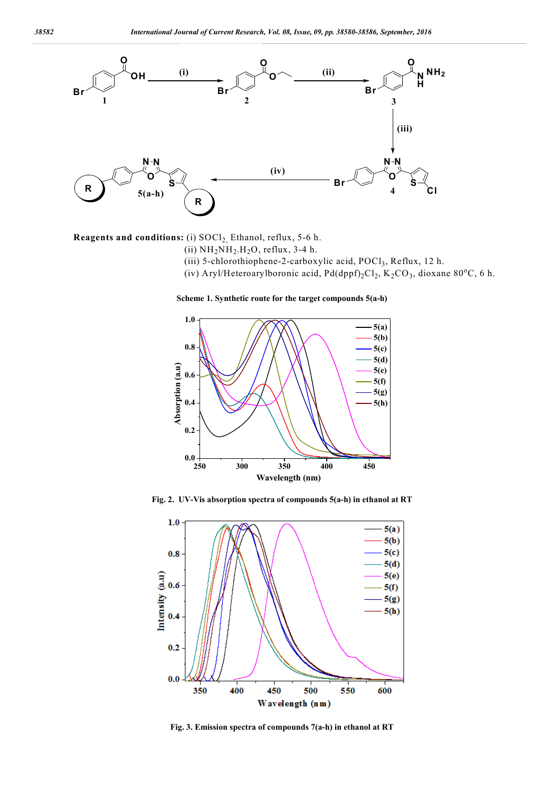

Reagents and conditions: (i)  $S OCl<sub>2</sub>$ , Ethanol, reflux, 5-6 h.

- (ii)  $NH<sub>2</sub>NH<sub>2</sub>H<sub>2</sub>O$ , reflux, 3-4 h.
- (iii) 5-chlorothiophene-2-carboxylic acid, POCl<sub>3</sub>, Reflux, 12 h.
- (iv) Aryl/Heteroarylboronic acid,  $Pd(dppf)_{2}Cl_2$ ,  $K_2CO_3$ , dioxane 80°C, 6 h.

Scheme 1. Synthetic route for the target compounds 5(a-h)



Fig. 2. UV-Vis absorption spectra of compounds 5(a-h) in ethanol at RT



Fig. 3. Emission spectra of compounds 7(a-h) in ethanol at RT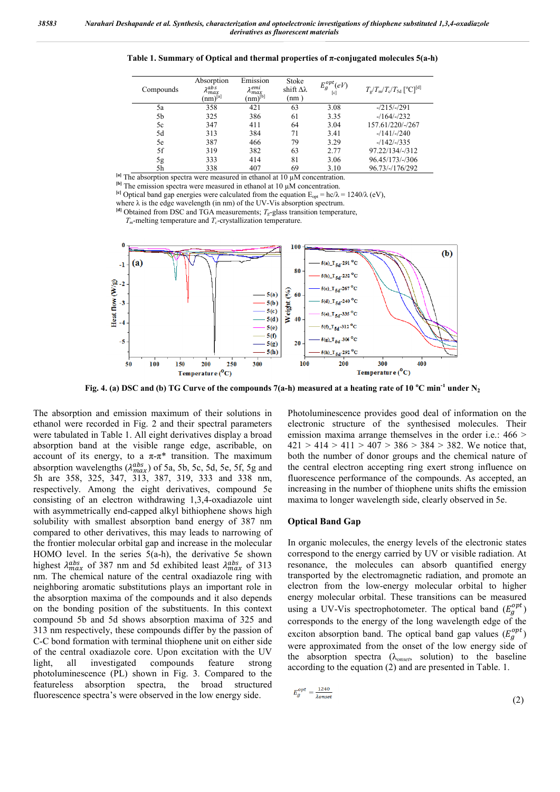Table 1. Summary of Optical and thermal properties of  $\pi$ -conjugated molecules  $5(a-h)$ 

| Compounds | Absorption<br>λ <sup>abs</sup><br>$(nm)^{[a]}$ | Emission<br>λ <sup>еті</sup><br>$(nm)^{[b]}$ | Stoke<br>shift $\Delta\lambda$<br>(nm) | $E_g^{opt}(eV)$<br>[c] | $T_g/T_m/T_c/T_{5d}$ [ <sup>o</sup> C] <sup>[d]</sup> |
|-----------|------------------------------------------------|----------------------------------------------|----------------------------------------|------------------------|-------------------------------------------------------|
| 5a        | 358                                            | 421                                          | 63                                     | 3.08                   | $-215/-291$                                           |
| 5b        | 325                                            | 386                                          | 61                                     | 3.35                   | $-164/-232$                                           |
| 5c        | 347                                            | 411                                          | 64                                     | 3.04                   | 157.61/220/-/267                                      |
| 5d        | 313                                            | 384                                          | 71                                     | 3.41                   | $-141/-240$                                           |
| 5e        | 387                                            | 466                                          | 79                                     | 3.29                   | $-142/-1335$                                          |
| 5f        | 319                                            | 382                                          | 63                                     | 2.77                   | 97.22/134/-/312                                       |
| 5g<br>5h  | 333                                            | 414                                          | 81                                     | 3.06                   | 96.45/173/-/306                                       |
|           | 338                                            | 407                                          | 69                                     | 3.10                   | 96.73/-/176/292                                       |

 $[a]$  The absorption spectra were measured in ethanol at 10  $\mu$ M concentration.

[b] The emission spectra were measured in ethanol at 10 µM concentration.

<sup>[c]</sup> Optical band gap energies were calculated from the equation  $E_{opt} = hc/\lambda = 1240/\lambda$  (eV),

where  $\lambda$  is the edge wavelength (in nm) of the UV-Vis absorption spectrum.

 $\left[$ <sup>d</sup>l Obtained from DSC and TGA measurements;  $T_g$ -glass transition temperature,

 $T_m$ -melting temperature and  $T_c$ -crystallization temperature.



Fig. 4. (a) DSC and (b) TG Curve of the compounds 7(a-h) measured at a heating rate of 10 °C min<sup>-1</sup> under N<sub>2</sub>

The absorption and emission maximum of their solutions in ethanol were recorded in Fig. 2 and their spectral parameters were tabulated in Table 1. All eight derivatives display a broad absorption band at the visible range edge, ascribable, on account of its energy, to a  $\pi-\pi^*$  transition. The maximum absorption wavelengths  $(\lambda_{max}^{abs})$  of 5a, 5b, 5c, 5d, 5e, 5f, 5g and 5h are 358, 325, 347, 313, 387, 319, 333 and 338 nm, respectively. Among the eight derivatives, compound 5e consisting of an electron withdrawing 1,3,4-oxadiazole uint with asymmetrically end-capped alkyl bithiophene shows high solubility with smallest absorption band energy of 387 nm compared to other derivatives, this may leads to narrowing of the frontier molecular orbital gap and increase in the molecular HOMO level. In the series 5(a-h), the derivative 5e shown highest  $\lambda_{max}^{abs}$  of 387 nm and 5d exhibited least  $\lambda_{max}^{abs}$  of 313 nm. The chemical nature of the central oxadiazole ring with neighboring aromatic substitutions plays an important role in the absorption maxima of the compounds and it also depends on the bonding position of the substituents. In this context compound 5b and 5d shows absorption maxima of 325 and 313 nm respectively, these compounds differ by the passion of C-C bond formation with terminal thiophene unit on either side of the central oxadiazole core. Upon excitation with the UV light, all investigated compounds feature strong photoluminescence (PL) shown in Fig. 3. Compared to the featureless absorption spectra, the broad structured fluorescence spectra's were observed in the low energy side.

Photoluminescence provides good deal of information on the electronic structure of the synthesised molecules. Their emission maxima arrange themselves in the order i.e.: 466 >  $421 > 414 > 411 > 407 > 386 > 384 > 382$ . We notice that, both the number of donor groups and the chemical nature of the central electron accepting ring exert strong influence on fluorescence performance of the compounds. As accepted, an increasing in the number of thiophene units shifts the emission maxima to longer wavelength side, clearly observed in 5e.

#### Optical Band Gap

In organic molecules, the energy levels of the electronic states correspond to the energy carried by UV or visible radiation. At resonance, the molecules can absorb quantified energy transported by the electromagnetic radiation, and promote an electron from the low-energy molecular orbital to higher energy molecular orbital. These transitions can be measured using a UV-Vis spectrophotometer. The optical band  $(E_g^{opt})$ corresponds to the energy of the long wavelength edge of the exciton absorption band. The optical band gap values  $(E_g^{opt})$ were approximated from the onset of the low energy side of the absorption spectra (λ*onset*, solution) to the baseline according to the equation (2) and are presented in Table. 1.

$$
E_g^{opt} = \frac{1240}{\lambda_{onset}}\tag{2}
$$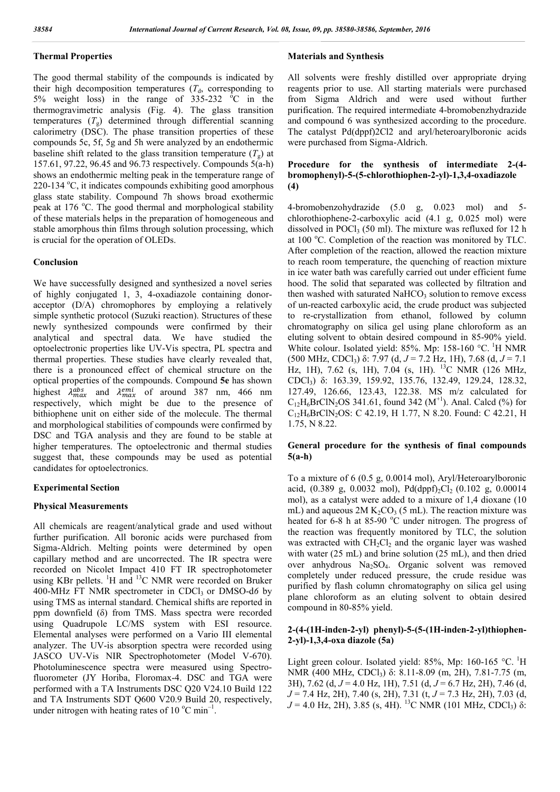#### Thermal Properties

The good thermal stability of the compounds is indicated by their high decomposition temperatures  $(T<sub>d</sub>,$  corresponding to 5% weight loss) in the range of  $335-232$  °C in the thermogravimetric analysis (Fig. 4). The glass transition temperatures  $(T<sub>g</sub>)$  determined through differential scanning calorimetry (DSC). The phase transition properties of these compounds 5c, 5f, 5g and 5h were analyzed by an endothermic baseline shift related to the glass transition temperature  $(T<sub>o</sub>)$  at 157.61, 97.22, 96.45 and 96.73 respectively. Compounds 5(a-h) shows an endothermic melting peak in the temperature range of 220-134 °C, it indicates compounds exhibiting good amorphous glass state stability. Compound 7h shows broad exothermic peak at 176 °C. The good thermal and morphological stability of these materials helps in the preparation of homogeneous and stable amorphous thin films through solution processing, which is crucial for the operation of OLEDs.

#### Conclusion

We have successfully designed and synthesized a novel series of highly conjugated 1, 3, 4-oxadiazole containing donoracceptor (D/A) chromophores by employing a relatively simple synthetic protocol (Suzuki reaction). Structures of these newly synthesized compounds were confirmed by their analytical and spectral data. We have studied the optoelectronic properties like UV-Vis spectra, PL spectra and thermal properties. These studies have clearly revealed that, there is a pronounced effect of chemical structure on the optical properties of the compounds. Compound 5e has shown highest  $\lambda_{max}^{abs}$  and  $\lambda_{max}^{emi}$  of around 387 nm, 466 nm respectively, which might be due to the presence of bithiophene unit on either side of the molecule. The thermal and morphological stabilities of compounds were confirmed by DSC and TGA analysis and they are found to be stable at higher temperatures. The optoelectronic and thermal studies suggest that, these compounds may be used as potential candidates for optoelectronics.

#### Experimental Section

#### Physical Measurements

All chemicals are reagent/analytical grade and used without further purification. All boronic acids were purchased from Sigma-Aldrich. Melting points were determined by open capillary method and are uncorrected. The IR spectra were recorded on Nicolet Impact 410 FT IR spectrophotometer using KBr pellets. <sup>1</sup>H and <sup>13</sup>C NMR were recorded on Bruker 400-MHz FT NMR spectrometer in CDCl<sub>3</sub> or DMSO-d6 by using TMS as internal standard. Chemical shifts are reported in ppm downfield (δ) from TMS. Mass spectra were recorded using Quadrupole LC/MS system with ESI resource. Elemental analyses were performed on a Vario III elemental analyzer. The UV-is absorption spectra were recorded using JASCO UV-Vis NIR Spectrophotometer (Model V-670). Photoluminescence spectra were measured using Spectrofluorometer (JY Horiba, Floromax-4. DSC and TGA were performed with a TA Instruments DSC Q20 V24.10 Build 122 and TA Instruments SDT Q600 V20.9 Build 20, respectively, under nitrogen with heating rates of 10  $^{\circ}$ C min<sup>-1</sup>.

#### Materials and Synthesis

All solvents were freshly distilled over appropriate drying reagents prior to use. All starting materials were purchased from Sigma Aldrich and were used without further purification. The required intermediate 4-bromobenzhydrazide and compound 6 was synthesized according to the procedure. The catalyst Pd(dppf)2Cl2 and aryl/heteroarylboronic acids were purchased from Sigma-Aldrich.

#### Procedure for the synthesis of intermediate 2-(4 bromophenyl)-5-(5-chlorothiophen-2-yl)-1,3,4-oxadiazole (4)

4-bromobenzohydrazide (5.0 g, 0.023 mol) and 5 chlorothiophene-2-carboxylic acid (4.1 g, 0.025 mol) were dissolved in POCl<sub>3</sub> (50 ml). The mixture was refluxed for 12 h at 100 °C. Completion of the reaction was monitored by TLC. After completion of the reaction, allowed the reaction mixture to reach room temperature, the quenching of reaction mixture in ice water bath was carefully carried out under efficient fume hood. The solid that separated was collected by filtration and then washed with saturated  $NAHCO<sub>3</sub>$  solution to remove excess of un-reacted carboxylic acid, the crude product was subjected to re-crystallization from ethanol, followed by column chromatography on silica gel using plane chloroform as an eluting solvent to obtain desired compound in 85-90% yield. White colour. Isolated yield: 85%. Mp: 158-160 °C. <sup>1</sup>H NMR (500 MHz, CDCl3) δ: 7.97 (d, *J* = 7.2 Hz, 1H), 7.68 (d, *J* = 7.1 Hz, 1H), 7.62 (s, 1H), 7.04 (s, 1H). <sup>13</sup>C NMR (126 MHz, CDCl3) δ: 163.39, 159.92, 135.76, 132.49, 129.24, 128.32, 127.49, 126.66, 123.43, 122.38. MS m/z calculated for  $C_{12}H_6BrClN_2OS$  341.61, found 342 (M<sup>+1</sup>). Anal. Calcd (%) for  $C_{12}H_6BrClN_2OS$ : C 42.19, H 1.77, N 8.20. Found: C 42.21, H 1.75, N 8.22.

#### General procedure for the synthesis of final compounds 5(a-h)

To a mixture of 6 (0.5 g, 0.0014 mol), Aryl/Heteroarylboronic acid,  $(0.389 \text{ g}, 0.0032 \text{ mol})$ , Pd(dppf)<sub>2</sub>Cl<sub>2</sub> (0.102 g, 0.00014 mol), as a catalyst were added to a mixure of 1,4 dioxane (10 mL) and aqueous  $2M K_2CO_3$  (5 mL). The reaction mixture was heated for 6-8 h at 85-90 °C under nitrogen. The progress of the reaction was frequently monitored by TLC, the solution was extracted with  $CH_2Cl_2$  and the organic layer was washed with water (25 mL) and brine solution (25 mL), and then dried over anhydrous Na2SO4. Organic solvent was removed completely under reduced pressure, the crude residue was purified by flash column chromatography on silica gel using plane chloroform as an eluting solvent to obtain desired compound in 80-85% yield.

#### 2-(4-(1H-inden-2-yl) phenyl)-5-(5-(1H-inden-2-yl)thiophen-2-yl)-1,3,4-oxa diazole (5a)

Light green colour. Isolated yield: 85%, Mp: 160-165 °C. <sup>1</sup>H NMR (400 MHz, CDCl3) δ: 8.11-8.09 (m, 2H), 7.81-7.75 (m, 3H), 7.62 (d, *J* = 4.0 Hz, 1H), 7.51 (d, *J* = 6.7 Hz, 2H), 7.46 (d, *J* = 7.4 Hz, 2H), 7.40 (s, 2H), 7.31 (t, *J* = 7.3 Hz, 2H), 7.03 (d,  $J = 4.0$  Hz, 2H), 3.85 (s, 4H). <sup>13</sup>C NMR (101 MHz, CDCl<sub>3</sub>)  $\delta$ :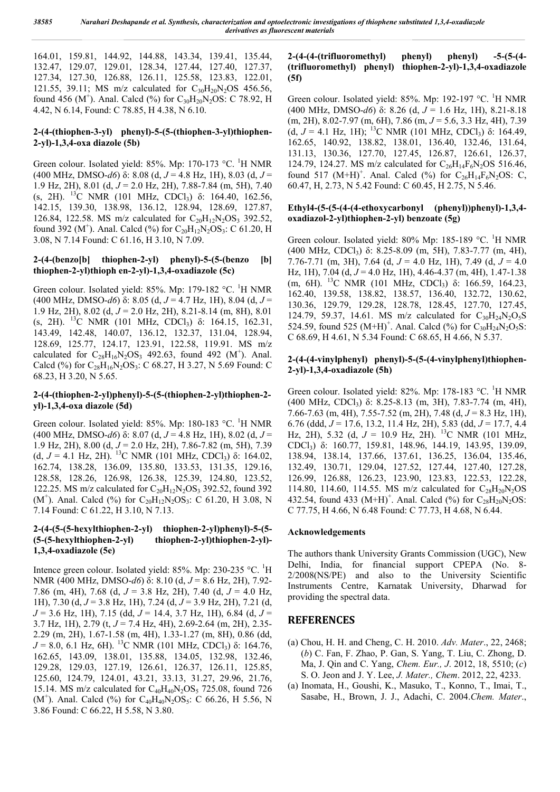164.01, 159.81, 144.92, 144.88, 143.34, 139.41, 135.44, 132.47, 129.07, 129.01, 128.34, 127.44, 127.40, 127.37, 127.34, 127.30, 126.88, 126.11, 125.58, 123.83, 122.01, 121.55, 39.11; MS m/z calculated for  $C_{30}H_{20}N_{2}OS$  456.56, found 456 (M<sup>+</sup>). Anal. Calcd (%) for  $C_{30}H_{20}N_2OS$ : C 78.92, H 4.42, N 6.14, Found: C 78.85, H 4.38, N 6.10.

#### 2-(4-(thiophen-3-yl) phenyl)-5-(5-(thiophen-3-yl)thiophen-2-yl)-1,3,4-oxa diazole (5b)

Green colour. Isolated yield: 85%. Mp: 170-173 °C. <sup>1</sup>H NMR (400 MHz, DMSO-*d6*) δ: 8.08 (d, *J* = 4.8 Hz, 1H), 8.03 (d, *J* = 1.9 Hz, 2H), 8.01 (d, *J* = 2.0 Hz, 2H), 7.88-7.84 (m, 5H), 7.40 (s, 2H). <sup>13</sup>C NMR (101 MHz, CDCl<sub>3</sub>) δ: 164.40, 162.56, 142.15, 139.30, 138.98, 136.12, 128.94, 128.69, 127.87, 126.84, 122.58. MS m/z calculated for  $C_{20}H_{12}N_2OS_3$  392.52, found 392 (M<sup>+</sup>). Anal. Calcd (%) for  $C_{20}H_{12}N_2OS_3$ : C 61.20, H 3.08, N 7.14 Found: C 61.16, H 3.10, N 7.09.

#### $2-(4-(benzo[b] -thiophen-2-vl) -phenyl)-5-(5-(benzo - [b])$ thiophen-2-yl)thioph en-2-yl)-1,3,4-oxadiazole (5c)

Green colour. Isolated yield: 85%. Mp: 179-182 °C. <sup>1</sup>H NMR (400 MHz, DMSO-*d6*) δ: 8.05 (d, *J* = 4.7 Hz, 1H), 8.04 (d, *J* = 1.9 Hz, 2H), 8.02 (d, *J* = 2.0 Hz, 2H), 8.21-8.14 (m, 8H), 8.01 (s, 2H).  $^{13}C$  NMR (101 MHz, CDCl<sub>3</sub>) δ: 164.15, 162.31, 143.49, 142.48, 140.07, 136.12, 132.37, 131.04, 128.94, 128.69, 125.77, 124.17, 123.91, 122.58, 119.91. MS m/z calculated for  $C_{28}H_{16}N_2OS_3$  492.63, found 492 (M<sup>+</sup>). Anal. Calcd (%) for  $C_{28}H_{16}N_2OS_3$ : C 68.27, H 3.27, N 5.69 Found: C 68.23, H 3.20, N 5.65.

### 2-(4-(thiophen-2-yl)phenyl)-5-(5-(thiophen-2-yl)thiophen-2 yl)-1,3,4-oxa diazole (5d)

Green colour. Isolated yield: 85%. Mp: 180-183 °C. <sup>1</sup>H NMR (400 MHz, DMSO-*d6*) δ: 8.07 (d, *J* = 4.8 Hz, 1H), 8.02 (d, *J* = 1.9 Hz, 2H), 8.00 (d, *J* = 2.0 Hz, 2H), 7.86-7.82 (m, 5H), 7.39 (d,  $J = 4.1$  Hz, 2H). <sup>13</sup>C NMR (101 MHz, CDCl<sub>3</sub>) δ: 164.02, 162.74, 138.28, 136.09, 135.80, 133.53, 131.35, 129.16, 128.58, 128.26, 126.98, 126.38, 125.39, 124.80, 123.52, 122.25. MS m/z calculated for  $C_{20}H_{12}N_2OS_3$  392.52, found 392 (M<sup>+</sup>). Anal. Calcd (%) for C<sub>20</sub>H<sub>12</sub>N<sub>2</sub>OS<sub>3</sub>: C 61.20, H 3.08, N 7.14 Found: C 61.22, H 3.10, N 7.13.

#### 2-(4-(5-(5-hexylthiophen-2-yl) thiophen-2-yl)phenyl)-5-(5- (5-(5-hexylthiophen-2-yl) thiophen-2-yl)thiophen-2-yl)-1,3,4-oxadiazole (5e)

Intence green colour. Isolated yield: 85%. Mp: 230-235 °C. <sup>1</sup>H NMR (400 MHz, DMSO-*d6*) δ: 8.10 (d, *J* = 8.6 Hz, 2H), 7.92- 7.86 (m, 4H), 7.68 (d, *J* = 3.8 Hz, 2H), 7.40 (d, *J* = 4.0 Hz, 1H), 7.30 (d, *J* = 3.8 Hz, 1H), 7.24 (d, *J* = 3.9 Hz, 2H), 7.21 (d, *J* = 3.6 Hz, 1H), 7.15 (dd, *J* = 14.4, 3.7 Hz, 1H), 6.84 (d, *J* = 3.7 Hz, 1H), 2.79 (t, *J* = 7.4 Hz, 4H), 2.69-2.64 (m, 2H), 2.35- 2.29 (m, 2H), 1.67-1.58 (m, 4H), 1.33-1.27 (m, 8H), 0.86 (dd,  $J = 8.0, 6.1$  Hz, 6H). <sup>13</sup>C NMR (101 MHz, CDCl<sub>3</sub>) δ: 164.76, 162.65, 143.09, 138.01, 135.88, 134.05, 132.98, 132.46, 129.28, 129.03, 127.19, 126.61, 126.37, 126.11, 125.85, 125.60, 124.79, 124.01, 43.21, 33.13, 31.27, 29.96, 21.76, 15.14. MS m/z calculated for  $C_{40}H_{40}N_2OS_5$  725.08, found 726 (M<sup>+</sup>). Anal. Calcd (%) for  $C_{40}H_{40}N_2OS_5$ : C 66.26, H 5.56, N 3.86 Found: C 66.22, H 5.58, N 3.80.

#### 2-(4-(4-(trifluoromethyl) phenyl) phenyl) -5-(5-(4- (trifluoromethyl) phenyl) thiophen-2-yl)-1,3,4-oxadiazole (5f)

Green colour. Isolated yield: 85%. Mp: 192-197 °C. <sup>1</sup>H NMR (400 MHz, DMSO-*d6*) δ: 8.26 (d, *J* = 1.6 Hz, 1H), 8.21-8.18 (m, 2H), 8.02-7.97 (m, 6H), 7.86 (m, *J* = 5.6, 3.3 Hz, 4H), 7.39 (d,  $J = 4.1$  Hz, 1H); <sup>13</sup>C NMR (101 MHz, CDCl<sub>3</sub>) δ: 164.49, 162.65, 140.92, 138.82, 138.01, 136.40, 132.46, 131.64, 131.13, 130.36, 127.70, 127.45, 126.87, 126.61, 126.37, 124.79, 124.27. MS m/z calculated for  $C_{26}H_{14}F_6N_2OS$  516.46, found 517  $(M+H)^+$ . Anal. Calcd (%) for C<sub>26</sub>H<sub>14</sub>F<sub>6</sub>N<sub>2</sub>OS: C, 60.47, H, 2.73, N 5.42 Found: C 60.45, H 2.75, N 5.46.

#### Ethyl4-(5-(5-(4-(4-ethoxycarbonyl (phenyl))phenyl)-1,3,4 oxadiazol-2-yl)thiophen-2-yl) benzoate (5g)

Green colour. Isolated yield: 80% Mp: 185-189 °C. <sup>1</sup>H NMR (400 MHz, CDCl3) δ: 8.25-8.09 (m, 5H), 7.83-7.77 (m, 4H), 7.76-7.71 (m, 3H), 7.64 (d, *J* = 4.0 Hz, 1H), 7.49 (d, *J* = 4.0 Hz, 1H), 7.04 (d, *J* = 4.0 Hz, 1H), 4.46-4.37 (m, 4H), 1.47-1.38 (m, 6H). <sup>13</sup>C NMR (101 MHz, CDCl<sub>3</sub>) δ: 166.59, 164.23, 162.40, 139.58, 138.82, 138.57, 136.40, 132.72, 130.62, 130.36, 129.79, 129.28, 128.78, 128.45, 127.70, 127.45, 124.79, 59.37, 14.61. MS m/z calculated for  $C_{30}H_{24}N_2O_5S$ 524.59, found 525  $(M+H)^+$ . Anal. Calcd (%) for C<sub>30</sub>H<sub>24</sub>N<sub>2</sub>O<sub>5</sub>S: C 68.69, H 4.61, N 5.34 Found: C 68.65, H 4.66, N 5.37.

#### 2-(4-(4-vinylphenyl) phenyl)-5-(5-(4-vinylphenyl)thiophen-2-yl)-1,3,4-oxadiazole (5h)

Green colour. Isolated yield: 82%. Mp: 178-183 °C. <sup>1</sup>H NMR (400 MHz, CDCl3) δ: 8.25-8.13 (m, 3H), 7.83-7.74 (m, 4H), 7.66-7.63 (m, 4H), 7.55-7.52 (m, 2H), 7.48 (d, *J* = 8.3 Hz, 1H), 6.76 (ddd, *J* = 17.6, 13.2, 11.4 Hz, 2H), 5.83 (dd, *J* = 17.7, 4.4 Hz, 2H), 5.32 (d,  $J = 10.9$  Hz, 2H). <sup>13</sup>C NMR (101 MHz, CDCl3) δ: 160.77, 159.81, 148.96, 144.19, 143.95, 139.09, 138.94, 138.14, 137.66, 137.61, 136.25, 136.04, 135.46, 132.49, 130.71, 129.04, 127.52, 127.44, 127.40, 127.28, 126.99, 126.88, 126.23, 123.90, 123.83, 122.53, 122.28, 114.80, 114.60, 114.55. MS m/z calculated for  $C_{28}H_{20}N_2OS$ 432.54, found 433  $(M+H)^+$ . Anal. Calcd (%) for C<sub>28</sub>H<sub>20</sub>N<sub>2</sub>OS: C 77.75, H 4.66, N 6.48 Found: C 77.73, H 4.68, N 6.44.

#### Acknowledgements

The authors thank University Grants Commission (UGC), New Delhi, India, for financial support CPEPA (No. 8- 2/2008(NS/PE) and also to the University Scientific Instruments Centre, Karnatak University, Dharwad for providing the spectral data.

### REFERENCES

- (a) Chou, H. H. and Cheng, C. H. 2010. *Adv. Mater*., 22, 2468; (*b*) C. Fan, F. Zhao, P. Gan, S. Yang, T. Liu, C. Zhong, D. Ma, J. Qin and C. Yang, *Chem. Eur., J*. 2012, 18, 5510; (*c*) S. O. Jeon and J. Y. Lee, *J. Mater., Chem*. 2012, 22, 4233.
- (a) Inomata, H., Goushi, K., Masuko, T., Konno, T., Imai, T., Sasabe, H., Brown, J. J., Adachi, C. 2004.*Chem. Mater*.,